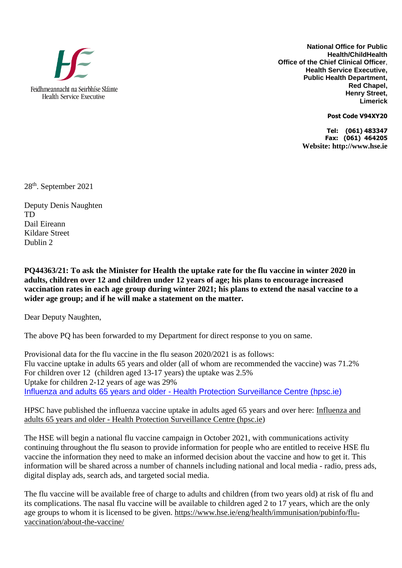

**National Office for Public Health/ChildHealth Office of the Chief Clinical Officer**, **Health Service Executive, Public Health Department, Red Chapel, Henry Street, Limerick** 

**Post Code V94XY20**

**Tel: (061) 483347 Fax: (061) 464205 Website: http://www.hse.ie**

28th. September 2021

Deputy Denis Naughten TD Dail Eireann Kildare Street Dublin 2

**PQ44363/21: To ask the Minister for Health the uptake rate for the flu vaccine in winter 2020 in adults, children over 12 and children under 12 years of age; his plans to encourage increased vaccination rates in each age group during winter 2021; his plans to extend the nasal vaccine to a wider age group; and if he will make a statement on the matter.** 

Dear Deputy Naughten,

The above PQ has been forwarded to my Department for direct response to you on same.

Provisional data for the flu vaccine in the flu season 2020/2021 is as follows: Flu vaccine uptake in adults 65 years and older (all of whom are recommended the vaccine) was 71.2% For children over 12 (children aged 13-17 years) the uptake was 2.5% Uptake for children 2-12 years of age was 29% [Influenza and adults 65 years and older -](https://scanner.topsec.com/?t=84c5c00d6b69e36e701ba8ffdf4d1af8663a093a&d=1527&u=https%3A%2F%2Furldefense.com%2Fv3%2F__https%3A%2Fscanner.topsec.com%2F%3Fd%3D1527%26r%3Dshow%26t%3D5ac285e0f1cd6fde9e256c5042fa30ae6ae2b676%26u%3Dhttps%2A3A%2A2F%2A2Fwww.hpsc.ie%2A2Fa-z%2A2Frespiratory%2A2Finfluenza%2A2Fseasonalinfluenza%2A2Finfluenzaandadults65yearsandolder%2A2F__%3BJSUlJSUlJSUl%21%21CfJOjA%21RubxPTsmuWwY_FxEZOxC_Dbf_s3X7XNY6OQW6s9jo4yy2xf9AuozQC8GB__7nxvfe8Yf%24&r=show) Health Protection Surveillance Centre [\(hpsc.ie\)](https://scanner.topsec.com/?t=84c5c00d6b69e36e701ba8ffdf4d1af8663a093a&d=1527&u=https%3A%2F%2Furldefense.com%2Fv3%2F__https%3A%2Fscanner.topsec.com%2F%3Fd%3D1527%26r%3Dshow%26t%3D5ac285e0f1cd6fde9e256c5042fa30ae6ae2b676%26u%3Dhttps%2A3A%2A2F%2A2Fwww.hpsc.ie%2A2Fa-z%2A2Frespiratory%2A2Finfluenza%2A2Fseasonalinfluenza%2A2Finfluenzaandadults65yearsandolder%2A2F__%3BJSUlJSUlJSUl%21%21CfJOjA%21RubxPTsmuWwY_FxEZOxC_Dbf_s3X7XNY6OQW6s9jo4yy2xf9AuozQC8GB__7nxvfe8Yf%24&r=show)

HPSC have published the influenza vaccine uptake in adults aged 65 years and over here: [Influenza and](https://scanner.topsec.com/?t=84c5c00d6b69e36e701ba8ffdf4d1af8663a093a&d=1527&u=https%3A%2F%2Furldefense.com%2Fv3%2F__https%3A%2Fscanner.topsec.com%2F%3Fd%3D1527%26r%3Dshow%26t%3D5ac285e0f1cd6fde9e256c5042fa30ae6ae2b676%26u%3Dhttps%2A3A%2A2F%2A2Fwww.hpsc.ie%2A2Fa-z%2A2Frespiratory%2A2Finfluenza%2A2Fseasonalinfluenza%2A2Finfluenzaandadults65yearsandolder%2A2F__%3BJSUlJSUlJSUl%21%21CfJOjA%21RubxPTsmuWwY_FxEZOxC_Dbf_s3X7XNY6OQW6s9jo4yy2xf9AuozQC8GB__7nxvfe8Yf%24&r=show)  adults 65 years and older - [Health Protection Surveillance Centre \(](https://scanner.topsec.com/?t=84c5c00d6b69e36e701ba8ffdf4d1af8663a093a&d=1527&u=https%3A%2F%2Furldefense.com%2Fv3%2F__https%3A%2Fscanner.topsec.com%2F%3Fd%3D1527%26r%3Dshow%26t%3D5ac285e0f1cd6fde9e256c5042fa30ae6ae2b676%26u%3Dhttps%2A3A%2A2F%2A2Fwww.hpsc.ie%2A2Fa-z%2A2Frespiratory%2A2Finfluenza%2A2Fseasonalinfluenza%2A2Finfluenzaandadults65yearsandolder%2A2F__%3BJSUlJSUlJSUl%21%21CfJOjA%21RubxPTsmuWwY_FxEZOxC_Dbf_s3X7XNY6OQW6s9jo4yy2xf9AuozQC8GB__7nxvfe8Yf%24&r=show)[hpsc.ie\)](https://scanner.topsec.com/?t=134af1bb767bd3f8fb4ec4e3b0d802cf6e3b4a80&d=1527&u=https%3A%2F%2Furldefense.com%2Fv3%2F__https%3A%2Fscanner.topsec.com%2F%3Fd%3D1527%26r%3Dshow%26t%3D329109676ff57f7ec4d03e88ab72f52112de9a01%26u%3Dhpsc.ie__%3B%21%21CfJOjA%21RubxPTsmuWwY_FxEZOxC_Dbf_s3X7XNY6OQW6s9jo4yy2xf9AuozQC8GB__7n6cYkuaW%24&r=show)

The HSE will begin a national flu vaccine campaign in October 2021, with communications activity continuing throughout the flu season to provide information for people who are entitled to receive HSE flu vaccine the information they need to make an informed decision about the vaccine and how to get it. This information will be shared across a number of channels including national and local media - radio, press ads, digital display ads, search ads, and targeted social media.

The flu vaccine will be available free of charge to adults and children (from two years old) at risk of flu and its complications. The nasal flu vaccine will be available to children aged 2 to 17 years, which are the only age groups to whom it is licensed to be given. [https://www.hse.ie/eng/health/immunisation/pubinfo/flu](https://scanner.topsec.com/?t=0c7fcd0224d8da4d1986d09602423d7604266d6d&d=1527&u=https%3A%2F%2Furldefense.com%2Fv3%2F__https%3A%2Fscanner.topsec.com%2F%3Fd%3D1820%26t%3D12c68569a6b607df11f4d667293231c345980cd1%26r%3Dshow%26u%3Dhttps%2A3A%2A2F%2A2Fwww.hse.ie%2A2Feng%2A2Fhealth%2A2Fimmunisation%2A2Fpubinfo%2A2Fflu-vaccination%2A2Fabout-the-vaccine%2A2F__%3BJSUlJSUlJSUlJQ%21%21CfJOjA%21RubxPTsmuWwY_FxEZOxC_Dbf_s3X7XNY6OQW6s9jo4yy2xf9AuozQC8GB__7nwS5CHMM%24&r=show)[vaccination/about-the-vaccine/](https://scanner.topsec.com/?t=0c7fcd0224d8da4d1986d09602423d7604266d6d&d=1527&u=https%3A%2F%2Furldefense.com%2Fv3%2F__https%3A%2Fscanner.topsec.com%2F%3Fd%3D1820%26t%3D12c68569a6b607df11f4d667293231c345980cd1%26r%3Dshow%26u%3Dhttps%2A3A%2A2F%2A2Fwww.hse.ie%2A2Feng%2A2Fhealth%2A2Fimmunisation%2A2Fpubinfo%2A2Fflu-vaccination%2A2Fabout-the-vaccine%2A2F__%3BJSUlJSUlJSUlJQ%21%21CfJOjA%21RubxPTsmuWwY_FxEZOxC_Dbf_s3X7XNY6OQW6s9jo4yy2xf9AuozQC8GB__7nwS5CHMM%24&r=show)